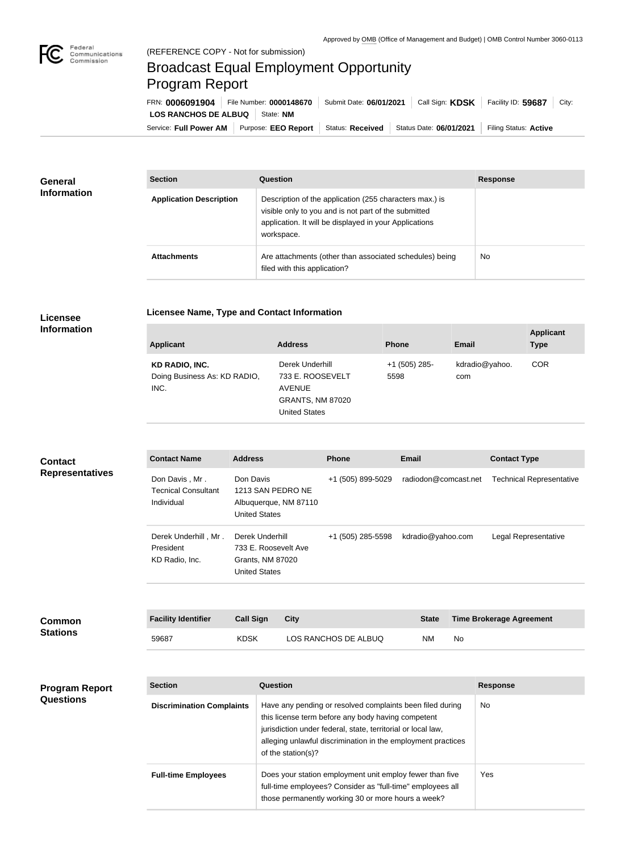

## Broadcast Equal Employment Opportunity Program Report

**Licensee Name, Type and Contact Information**

Service: Full Power AM | Purpose: EEO Report | Status: Received | Status Date: 06/01/2021 | Filing Status: Active **LOS RANCHOS DE ALBUQ** | State: NM FRN: **0006091904** File Number: **0000148670** Submit Date: **06/01/2021** Call Sign: **KDSK** Facility ID: **59687** City:

| <b>General</b><br><b>Information</b> | <b>Section</b>                 | <b>Question</b>                                                                                                                                                                         | <b>Response</b> |
|--------------------------------------|--------------------------------|-----------------------------------------------------------------------------------------------------------------------------------------------------------------------------------------|-----------------|
|                                      | <b>Application Description</b> | Description of the application (255 characters max.) is<br>visible only to you and is not part of the submitted<br>application. It will be displayed in your Applications<br>workspace. |                 |
|                                      | <b>Attachments</b>             | Are attachments (other than associated schedules) being<br>filed with this application?                                                                                                 | No              |

## **Licensee Information**

| <b>Applicant</b>                                              | <b>Address</b>                                                                                          | <b>Phone</b>          | <b>Email</b>          | <b>Applicant</b><br><b>Type</b> |
|---------------------------------------------------------------|---------------------------------------------------------------------------------------------------------|-----------------------|-----------------------|---------------------------------|
| <b>KD RADIO, INC.</b><br>Doing Business As: KD RADIO,<br>INC. | Derek Underhill<br>733 E. ROOSEVELT<br><b>AVENUE</b><br><b>GRANTS, NM 87020</b><br><b>United States</b> | +1 (505) 285-<br>5598 | kdradio@yahoo.<br>com | <b>COR</b>                      |

| <b>Contact</b><br><b>Representatives</b> | <b>Contact Name</b>                                        | <b>Address</b>                                                                      | <b>Phone</b>         | <b>Email</b>         | <b>Contact Type</b>             |
|------------------------------------------|------------------------------------------------------------|-------------------------------------------------------------------------------------|----------------------|----------------------|---------------------------------|
|                                          | Don Davis, Mr.<br><b>Tecnical Consultant</b><br>Individual | Don Davis<br>1213 SAN PEDRO NE<br>Albuquerque, NM 87110<br><b>United States</b>     | +1 (505) 899-5029    | radiodon@comcast.net | <b>Technical Representative</b> |
|                                          | Derek Underhill, Mr.<br>President<br>KD Radio, Inc.        | Derek Underhill<br>733 E. Roosevelt Ave<br>Grants, NM 87020<br><b>United States</b> | +1 (505) 285-5598    | kdradio@yahoo.com    | Legal Representative            |
| Common                                   | <b>Facility Identifier</b>                                 | <b>Call Sign</b><br><b>City</b>                                                     |                      | <b>State</b>         | <b>Time Brokerage Agreement</b> |
| <b>Stations</b>                          | 59687                                                      | <b>KDSK</b>                                                                         | LOS RANCHOS DE ALBUQ | No<br>NM.            |                                 |

| <b>Program Report</b><br><b>Questions</b> | <b>Section</b>                   | Question                                                                                                                                                                                                                                                              | <b>Response</b> |
|-------------------------------------------|----------------------------------|-----------------------------------------------------------------------------------------------------------------------------------------------------------------------------------------------------------------------------------------------------------------------|-----------------|
|                                           | <b>Discrimination Complaints</b> | Have any pending or resolved complaints been filed during<br>this license term before any body having competent<br>jurisdiction under federal, state, territorial or local law,<br>alleging unlawful discrimination in the employment practices<br>of the station(s)? | No.             |
|                                           | <b>Full-time Employees</b>       | Does your station employment unit employ fewer than five<br>full-time employees? Consider as "full-time" employees all<br>those permanently working 30 or more hours a week?                                                                                          | Yes.            |